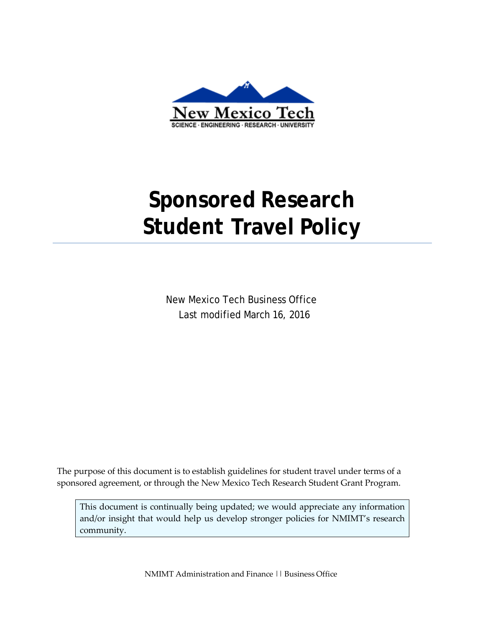

# **Sponsored Research Student Travel Policy**

New Mexico Tech Business Office Last modified March 16, 2016

The purpose of this document is to establish guidelines for student travel under terms of a sponsored agreement, or through the New Mexico Tech Research Student Grant Program.

This document is continually being updated; we would appreciate any information and/or insight that would help us develop stronger policies for NMIMT's research community.

NMIMT Administration and Finance || Business Office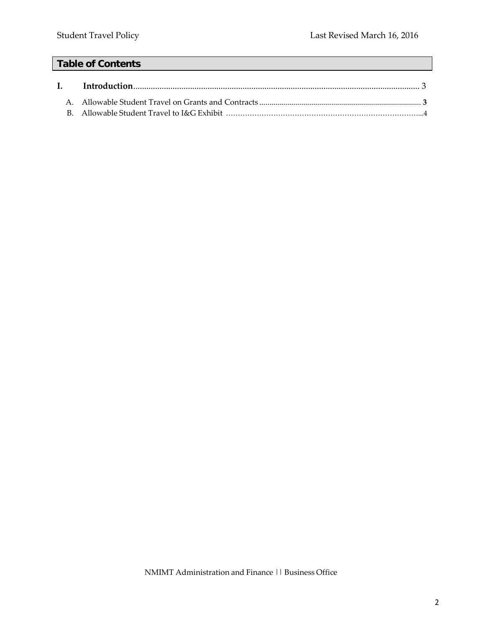## **Table of Contents**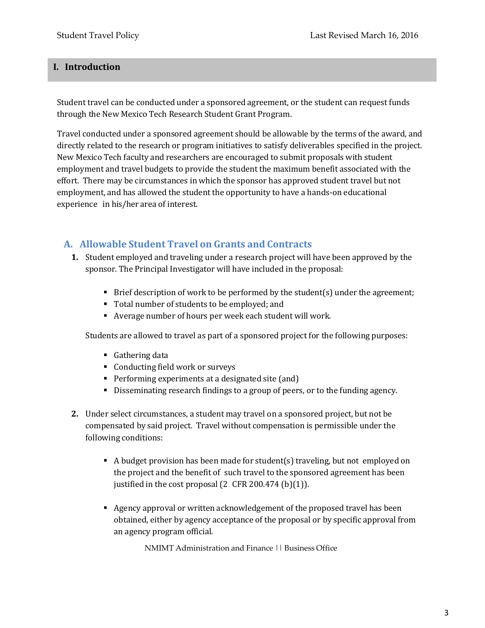#### **I. Introduction**

Student travel can be conducted under a sponsored agreement, or the student can request funds through the New Mexico Tech Research Student Grant Program.

Travel conducted under a sponsored agreement should be allowable by the terms of the award, and directly related to the research or program initiatives to satisfy deliverables specified in the project. New Mexico Tech faculty and researchers are encouraged to submit proposals with student employment and travel budgets to provide the student the maximum benefit associated with the effort. There may be circumstances in which the sponsor has approved student travel but not employment, and has allowed the student the opportunity to have a hands-on educational experience in his/her area of interest.

### **A. Allowable Student Travel on Grants and Contracts**

- **1.** Student employed and traveling under a research project will have been approved by the sponsor. The Principal Investigator will have included in the proposal:
	- Brief description of work to be performed by the student(s) under the agreement;
	- Total number of students to be employed; and
	- Average number of hours per week each student will work.

Students are allowed to travel as part of a sponsored project for the following purposes:

- Gathering data
- Conducting field work or surveys
- Performing experiments at a designated site (and)
- Disseminating research findings to a group of peers, or to the funding agency.
- **2.** Under select circumstances, a student may travel on a sponsored project, but not be compensated by said project. Travel without compensation is permissible under the following conditions:
	- A budget provision has been made for student(s) traveling, but not employed on the project and the benefit of such travel to the sponsored agreement has been justified in the cost proposal  $(2 \text{ CFR } 200.474 \text{ (b)}(1)).$
	- Agency approval or written acknowledgement of the proposed travel has been obtained, either by agency acceptance of the proposal or by specific approval from an agency program official.

NMIMT Administration and Finance || Business Office